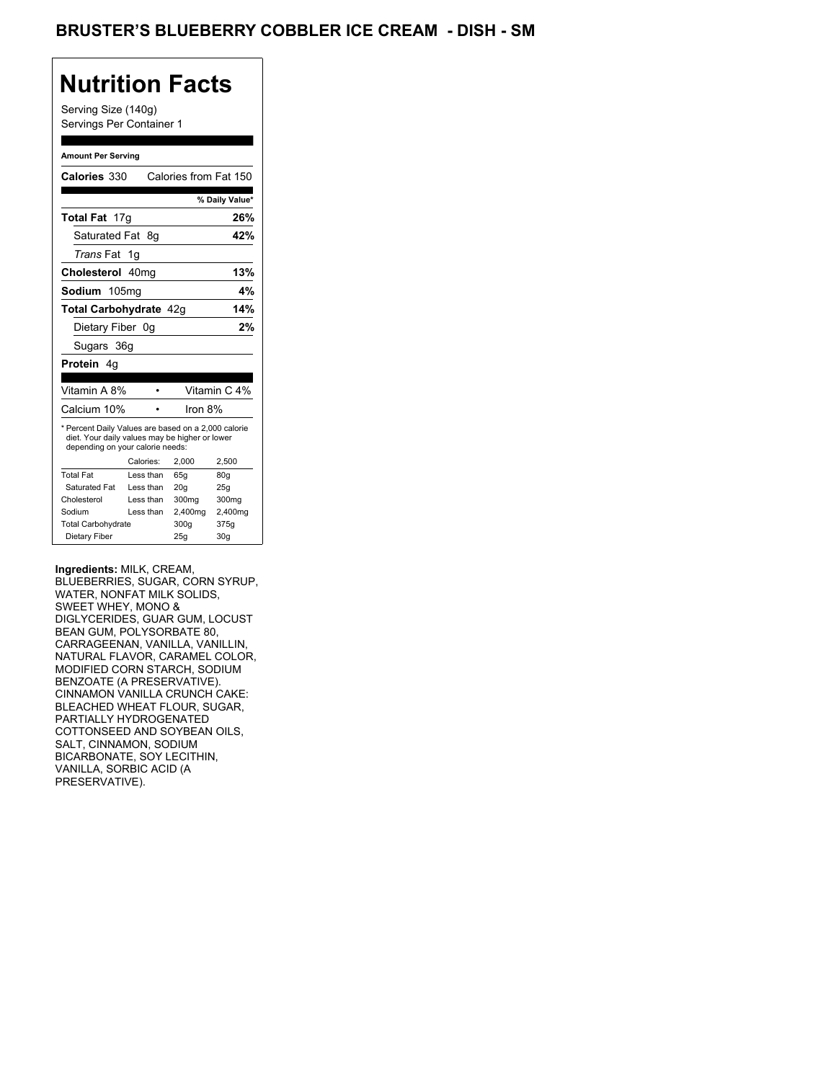## BRUSTER'S BLUEBERRY COBBLER ICE CREAM **- DISH - SM**

## **Nutrition Facts**

Serving Size (140g) Servings Per Container 1

#### **Amount Per Serving**

| Calories 330                                                                                                                              |                |    | Calories from Fat 150 |                 |
|-------------------------------------------------------------------------------------------------------------------------------------------|----------------|----|-----------------------|-----------------|
|                                                                                                                                           |                |    |                       | % Daily Value*  |
| <b>Total Fat</b><br>17g                                                                                                                   |                |    |                       | 26%             |
| Saturated Fat                                                                                                                             |                | 8g |                       | 42%             |
| <i>Trans</i> Fat                                                                                                                          | 1 <sub>g</sub> |    |                       |                 |
| Cholesterol 40mg                                                                                                                          |                |    |                       | 13%             |
| Sodium 105mg                                                                                                                              |                |    |                       | 4%              |
| Total Carbohydrate 42g                                                                                                                    |                |    |                       | 14%             |
| Dietary Fiber 0g                                                                                                                          |                |    |                       | 2%              |
| Sugars 36g                                                                                                                                |                |    |                       |                 |
| Protein 4g                                                                                                                                |                |    |                       |                 |
|                                                                                                                                           |                |    |                       |                 |
| Vitamin A 8%                                                                                                                              |                |    |                       | Vitamin C 4%    |
| Calcium 10%                                                                                                                               |                |    | Iron 8%               |                 |
| * Percent Daily Values are based on a 2,000 calorie<br>diet. Your daily values may be higher or lower<br>depending on your calorie needs: | Calories:      |    | 2,000                 | 2,500           |
| <b>Total Fat</b>                                                                                                                          | Less than      |    | 65q                   | 80q             |
| Saturated Fat                                                                                                                             | Less than      |    | 20q                   | 25g             |
| Cholesterol                                                                                                                               | Less than      |    | 300mg                 | 300mg           |
| Sodium                                                                                                                                    | Less than      |    | 2,400mg               | 2,400mg         |
| <b>Total Carbohydrate</b>                                                                                                                 |                |    | 300g                  | 375g            |
| Dietary Fiber                                                                                                                             |                |    | 25q                   | 30 <sub>q</sub> |

**Ingredients:** MILK, CREAM,

BLUEBERRIES, SUGAR, CORN SYRUP, WATER, NONFAT MILK SOLIDS, SWEET WHEY, MONO & DIGLYCERIDES, GUAR GUM, LOCUST BEAN GUM, POLYSORBATE 80, CARRAGEENAN, VANILLA, VANILLIN, NATURAL FLAVOR, CARAMEL COLOR, MODIFIED CORN STARCH, SODIUM BENZOATE (A PRESERVATIVE). CINNAMON VANILLA CRUNCH CAKE: BLEACHED WHEAT FLOUR, SUGAR, PARTIALLY HYDROGENATED COTTONSEED AND SOYBEAN OILS, SALT, CINNAMON, SODIUM BICARBONATE, SOY LECITHIN, VANILLA, SORBIC ACID (A PRESERVATIVE).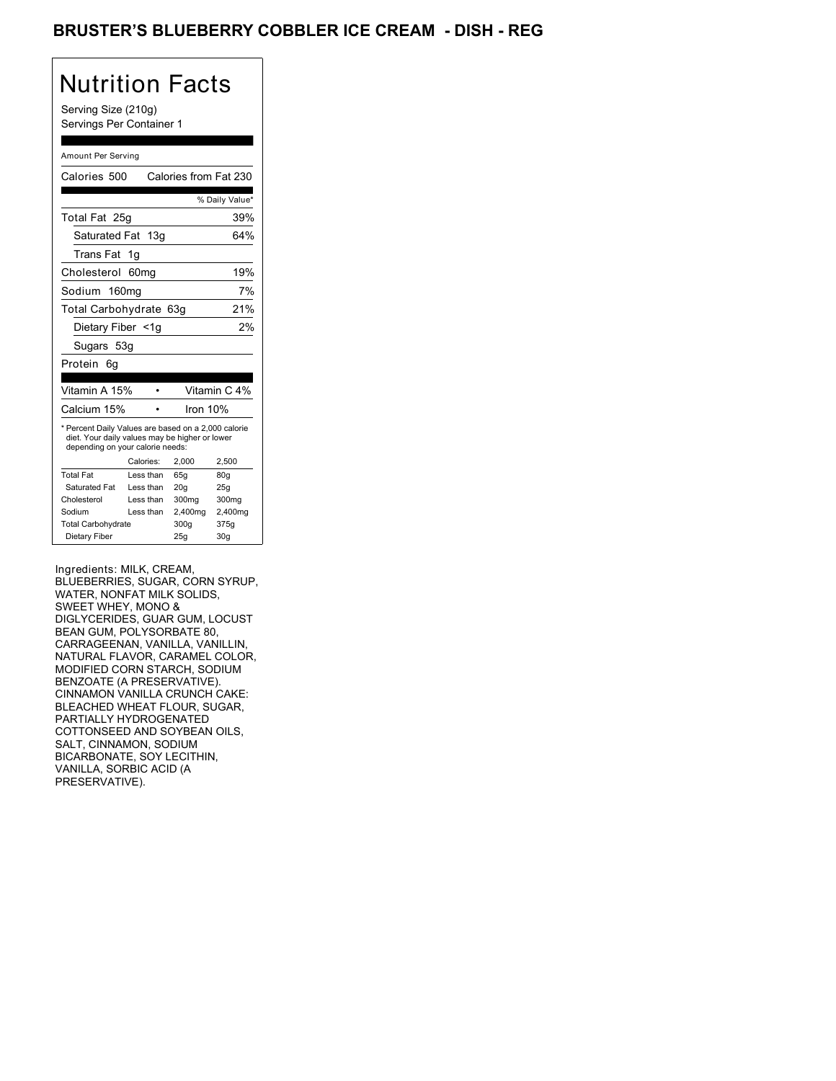## BRUSTER'S BLUEBERRY COBBLER ICE CREAM - DISH - REG

## Nutrition Facts

Serving Size (210g) Servings Per Container 1

#### Amount Per Serving

| Calories 500                                                                                                                                                             |                  | Calories from Fat 230 |                 |
|--------------------------------------------------------------------------------------------------------------------------------------------------------------------------|------------------|-----------------------|-----------------|
|                                                                                                                                                                          |                  |                       | % Daily Value*  |
| Total Fat 25g                                                                                                                                                            |                  |                       | 39%             |
| Saturated Fat 13g                                                                                                                                                        |                  |                       | 64%             |
| <b>Trans Fat</b>                                                                                                                                                         | 1g               |                       |                 |
| Cholesterol                                                                                                                                                              | 60 <sub>mq</sub> |                       | 19%             |
| Sodium 160mg                                                                                                                                                             |                  |                       | 7%              |
| Total Carbohydrate                                                                                                                                                       |                  | 63a                   | 21%             |
| Dietary Fiber <1g                                                                                                                                                        |                  |                       | 2%              |
| Sugars 53g                                                                                                                                                               |                  |                       |                 |
| Protein<br>6g                                                                                                                                                            |                  |                       |                 |
|                                                                                                                                                                          |                  |                       |                 |
| Vitamin A 15%                                                                                                                                                            |                  |                       | Vitamin C 4%    |
| Calcium 15%                                                                                                                                                              |                  | Iron $10%$            |                 |
| * Percent Daily Values are based on a 2,000 calorie<br>diet. Your daily values may be higher or lower<br>depending on your calorie needs:<br>Calories:<br>2,000<br>2,500 |                  |                       |                 |
| <b>Total Fat</b>                                                                                                                                                         | Less than        | 65q                   | 80q             |
| Saturated Fat                                                                                                                                                            | Less than        | 20q                   | 25g             |
| Cholesterol                                                                                                                                                              | Less than        | 300mg                 | 300mg           |
| Sodium                                                                                                                                                                   | Less than        | 2,400mg               | 2,400mg         |
| <b>Total Carbohydrate</b>                                                                                                                                                |                  | 300g                  | 375g            |
| Dietary Fiber                                                                                                                                                            |                  | 25g                   | 30 <sub>g</sub> |

Ingredients: MILK, CREAM,

BLUEBERRIES, SUGAR, CORN SYRUP, WATER, NONFAT MILK SOLIDS, SWEET WHEY, MONO & DIGLYCERIDES, GUAR GUM, LOCUST BEAN GUM, POLYSORBATE 80, CARRAGEENAN, VANILLA, VANILLIN, NATURAL FLAVOR, CARAMEL COLOR, MODIFIED CORN STARCH, SODIUM BENZOATE (A PRESERVATIVE). CINNAMON VANILLA CRUNCH CAKE: BLEACHED WHEAT FLOUR, SUGAR, PARTIALLY HYDROGENATED COTTONSEED AND SOYBEAN OILS, SALT, CINNAMON, SODIUM BICARBONATE, SOY LECITHIN, VANILLA, SORBIC ACID (A PRESERVATIVE).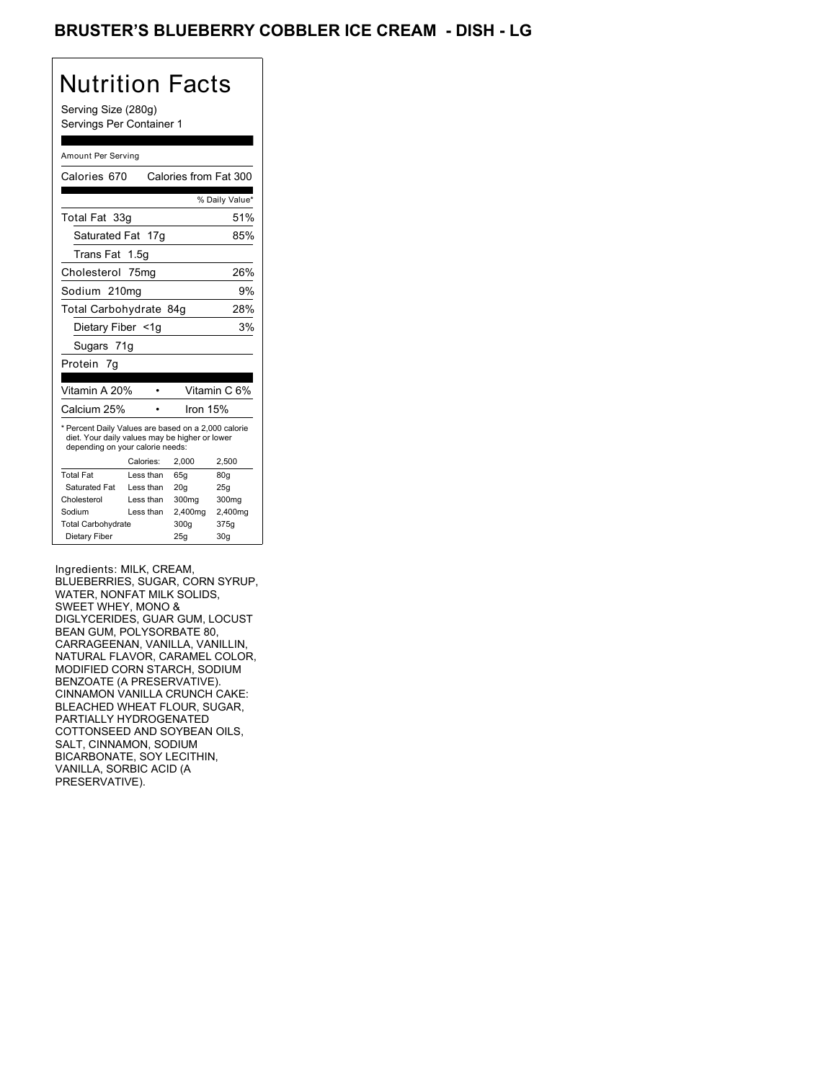## BRUSTER'S BLUEBERRY COBBLER ICE CREAM - DISH - LG

## Nutrition Facts

Serving Size (280g) Servings Per Container 1

### Amount Per Serving

| Calories 670                                                                                                                                           |                        | Calories from Fat 300 |                 |
|--------------------------------------------------------------------------------------------------------------------------------------------------------|------------------------|-----------------------|-----------------|
|                                                                                                                                                        |                        |                       | % Daily Value*  |
| Total Fat 33g                                                                                                                                          |                        |                       | 51%             |
| Saturated Fat 17g                                                                                                                                      |                        |                       | 85%             |
| Trans Fat 1.5g                                                                                                                                         |                        |                       |                 |
| Cholesterol 75mg                                                                                                                                       |                        |                       | 26%             |
| Sodium 210mg                                                                                                                                           |                        |                       | 9%              |
| Total Carbohydrate 84g                                                                                                                                 |                        |                       | 28%             |
| Dietary Fiber <1g                                                                                                                                      |                        |                       | 3%              |
| Sugars 71g                                                                                                                                             |                        |                       |                 |
| Protein 7g                                                                                                                                             |                        |                       |                 |
|                                                                                                                                                        |                        |                       |                 |
| Vitamin A 20%<br>Vitamin C 6%                                                                                                                          |                        |                       |                 |
| Calcium 25%                                                                                                                                            |                        | Iron 15%              |                 |
| * Percent Daily Values are based on a 2,000 calorie<br>diet. Your daily values may be higher or lower<br>depending on your calorie needs:<br>Calories: |                        |                       |                 |
| <b>Total Fat</b>                                                                                                                                       |                        | 2,000                 | 2,500           |
| Saturated Fat                                                                                                                                          | Less than              | 65q                   | 80q             |
| Cholesterol                                                                                                                                            | Less than<br>Less than | 20 <sub>g</sub>       | 25g             |
| Sodium                                                                                                                                                 | Less than              | 300 <sub>mq</sub>     | 300mg           |
|                                                                                                                                                        |                        | 2,400mg               | 2,400mg         |
| <b>Total Carbohydrate</b>                                                                                                                              |                        | 300g                  | 375g            |
| Dietary Fiber                                                                                                                                          |                        | 25g                   | 30 <sub>g</sub> |

Ingredients: MILK, CREAM,

BLUEBERRIES, SUGAR, CORN SYRUP, WATER, NONFAT MILK SOLIDS, SWEET WHEY, MONO & DIGLYCERIDES, GUAR GUM, LOCUST BEAN GUM, POLYSORBATE 80, CARRAGEENAN, VANILLA, VANILLIN, NATURAL FLAVOR, CARAMEL COLOR, MODIFIED CORN STARCH, SODIUM BENZOATE (A PRESERVATIVE). CINNAMON VANILLA CRUNCH CAKE: BLEACHED WHEAT FLOUR, SUGAR, PARTIALLY HYDROGENATED COTTONSEED AND SOYBEAN OILS, SALT, CINNAMON, SODIUM BICARBONATE, SOY LECITHIN, VANILLA, SORBIC ACID (A PRESERVATIVE).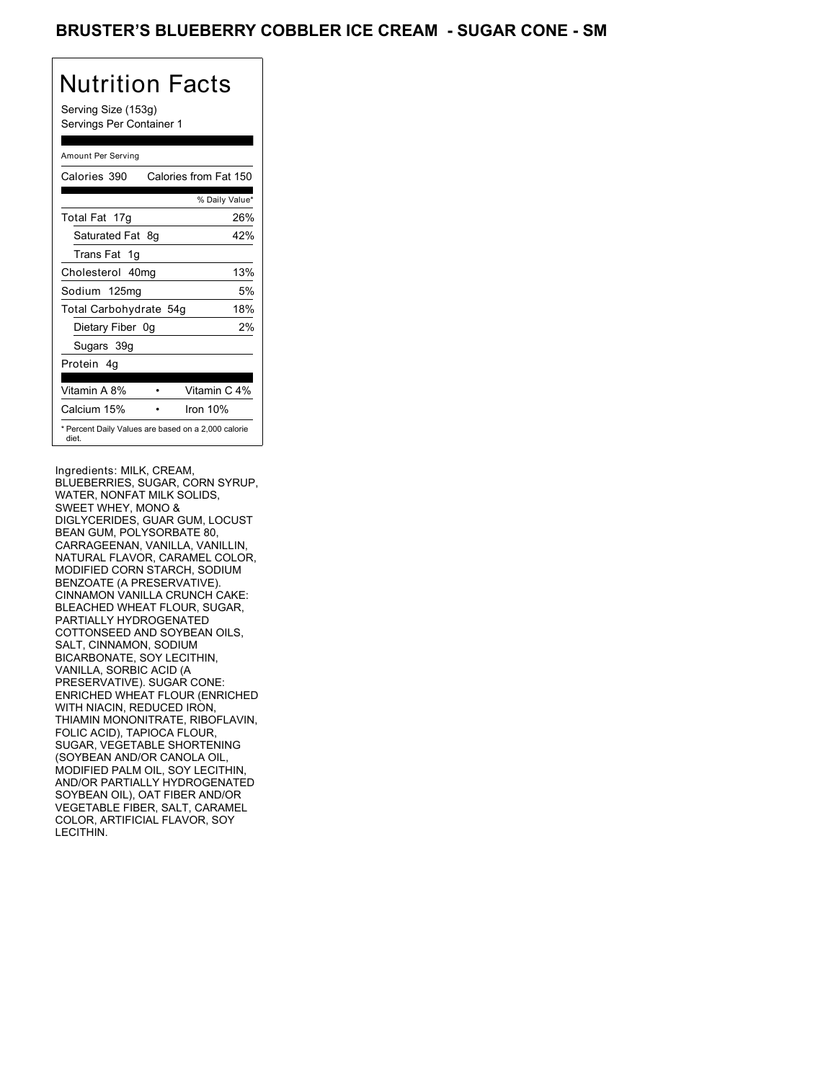## BRUSTER'S BLUEBERRY COBBLER ICE CREAM - SUGAR CONE - SM

# Nutrition Facts

Serving Size (153g) Servings Per Container 1

### Amount Per Serving

| Calories 390           | Calories from Fat 150                               |
|------------------------|-----------------------------------------------------|
|                        | % Daily Value*                                      |
| Total Fat 17g          | 26%                                                 |
| Saturated Fat 8g       | 42%                                                 |
| Trans Fat 1q           |                                                     |
| Cholesterol 40mg       | 13%                                                 |
| Sodium 125mg           | 5%                                                  |
| Total Carbohydrate 54g | 18%                                                 |
| Dietary Fiber 0g       | 2%                                                  |
| Sugars 39g             |                                                     |
| Protein 4q             |                                                     |
| Vitamin A 8%           | Vitamin C 4%                                        |
| Calcium 15%            | Iron 10%                                            |
| diet.                  | * Percent Daily Values are based on a 2,000 calorie |

Ingredients: MILK, CREAM, BLUEBERRIES, SUGAR, CORN SYRUP, WATER, NONFAT MILK SOLIDS, SWEET WHEY, MONO & DIGLYCERIDES, GUAR GUM, LOCUST BEAN GUM, POLYSORBATE 80, CARRAGEENAN, VANILLA, VANILLIN, NATURAL FLAVOR, CARAMEL COLOR, MODIFIED CORN STARCH, SODIUM BENZOATE (A PRESERVATIVE). CINNAMON VANILLA CRUNCH CAKE: BLEACHED WHEAT FLOUR, SUGAR, PARTIALLY HYDROGENATED COTTONSEED AND SOYBEAN OILS, SALT, CINNAMON, SODIUM BICARBONATE, SOY LECITHIN, VANILLA, SORBIC ACID (A PRESERVATIVE). SUGAR CONE: ENRICHED WHEAT FLOUR (ENRICHED WITH NIACIN, REDUCED IRON, THIAMIN MONONITRATE, RIBOFLAVIN, FOLIC ACID), TAPIOCA FLOUR, SUGAR, VEGETABLE SHORTENING (SOYBEAN AND/OR CANOLA OIL, MODIFIED PALM OIL, SOY LECITHIN, AND/OR PARTIALLY HYDROGENATED SOYBEAN OIL), OAT FIBER AND/OR VEGETABLE FIBER, SALT, CARAMEL COLOR, ARTIFICIAL FLAVOR, SOY LECITHIN.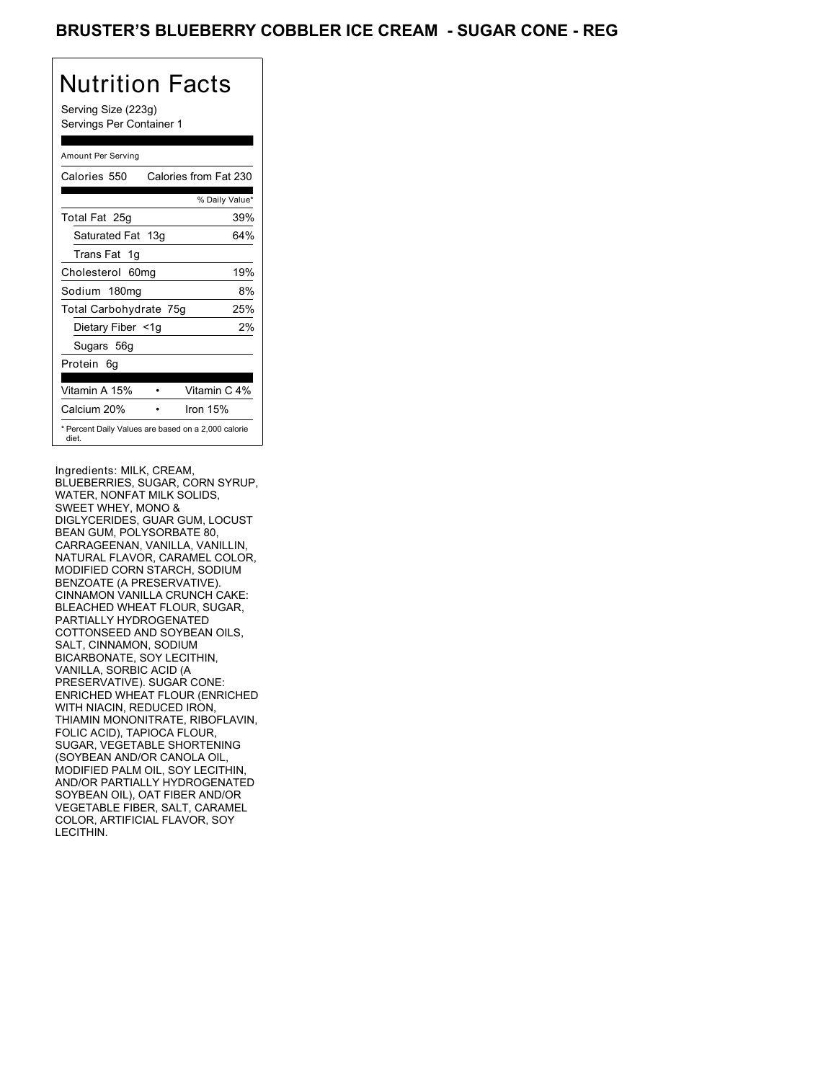## BRUSTER'S BLUEBERRY COBBLER ICE CREAM - SUGAR CONE - REG

# Nutrition Facts

Serving Size (223g) Servings Per Container 1

### Amount Per Serving

| Calories 550                                                 | Calories from Fat 230 |     |
|--------------------------------------------------------------|-----------------------|-----|
|                                                              | % Daily Value*        |     |
| Total Fat 25g                                                |                       | 39% |
| Saturated Fat 13g                                            |                       | 64% |
| Trans Fat 1g                                                 |                       |     |
| Cholesterol 60mg                                             |                       | 19% |
| Sodium 180mg                                                 |                       | 8%  |
| Total Carbohydrate 75g                                       |                       | 25% |
| Dietary Fiber <1g                                            |                       | 2%  |
| Sugars 56g                                                   |                       |     |
| Protein 6g                                                   |                       |     |
| Vitamin A 15%                                                | Vitamin C 4%          |     |
| Calcium 20%                                                  | Iron 15%              |     |
| * Percent Daily Values are based on a 2,000 calorie<br>diet. |                       |     |

Ingredients: MILK, CREAM, BLUEBERRIES, SUGAR, CORN SYRUP, WATER, NONFAT MILK SOLIDS, SWEET WHEY, MONO & DIGLYCERIDES, GUAR GUM, LOCUST BEAN GUM, POLYSORBATE 80, CARRAGEENAN, VANILLA, VANILLIN, NATURAL FLAVOR, CARAMEL COLOR, MODIFIED CORN STARCH, SODIUM BENZOATE (A PRESERVATIVE). CINNAMON VANILLA CRUNCH CAKE: BLEACHED WHEAT FLOUR, SUGAR, PARTIALLY HYDROGENATED COTTONSEED AND SOYBEAN OILS, SALT, CINNAMON, SODIUM BICARBONATE, SOY LECITHIN, VANILLA, SORBIC ACID (A PRESERVATIVE). SUGAR CONE: ENRICHED WHEAT FLOUR (ENRICHED WITH NIACIN, REDUCED IRON, THIAMIN MONONITRATE, RIBOFLAVIN, FOLIC ACID), TAPIOCA FLOUR, SUGAR, VEGETABLE SHORTENING (SOYBEAN AND/OR CANOLA OIL, MODIFIED PALM OIL, SOY LECITHIN, AND/OR PARTIALLY HYDROGENATED SOYBEAN OIL), OAT FIBER AND/OR VEGETABLE FIBER, SALT, CARAMEL COLOR, ARTIFICIAL FLAVOR, SOY LECITHIN.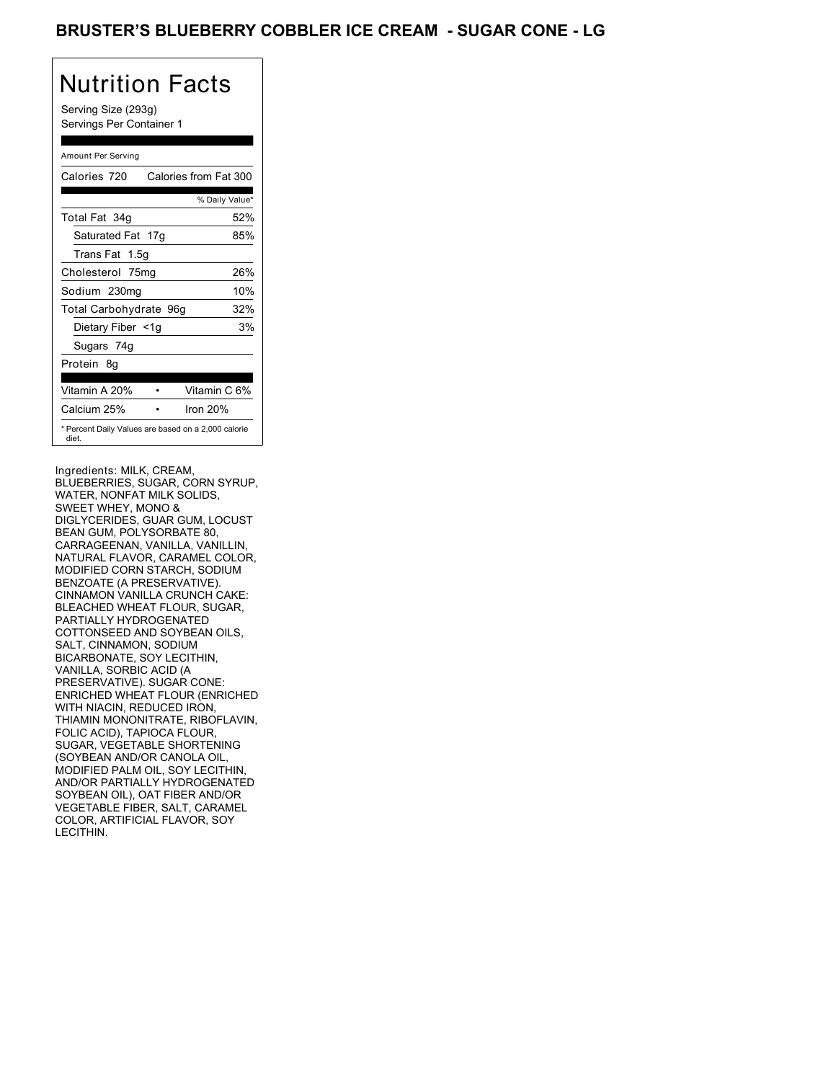## BRUSTER'S BLUEBERRY COBBLER ICE CREAM - SUGAR CONE - LG

# Nutrition Facts

Serving Size (293g) Servings Per Container 1

### Amount Per Serving

| Calories 720           | Calories from Fat 300                               |
|------------------------|-----------------------------------------------------|
|                        | % Daily Value*                                      |
| Total Fat 34g          | 52%                                                 |
| Saturated Fat 17g      | 85%                                                 |
| Trans Fat 1.5q         |                                                     |
| Cholesterol 75mg       | 26%                                                 |
| Sodium 230mg           | 10%                                                 |
| Total Carbohydrate 96g | 32%                                                 |
| Dietary Fiber <1g      | 3%                                                  |
| Sugars 74g             |                                                     |
| Protein 8q             |                                                     |
| Vitamin A 20%          | Vitamin C 6%                                        |
| Calcium 25%            | Iron $20%$                                          |
| diet.                  | * Percent Daily Values are based on a 2,000 calorie |

Ingredients: MILK, CREAM, BLUEBERRIES, SUGAR, CORN SYRUP, WATER, NONFAT MILK SOLIDS, SWEET WHEY, MONO & DIGLYCERIDES, GUAR GUM, LOCUST BEAN GUM, POLYSORBATE 80, CARRAGEENAN, VANILLA, VANILLIN, NATURAL FLAVOR, CARAMEL COLOR, MODIFIED CORN STARCH, SODIUM BENZOATE (A PRESERVATIVE). CINNAMON VANILLA CRUNCH CAKE: BLEACHED WHEAT FLOUR, SUGAR, PARTIALLY HYDROGENATED COTTONSEED AND SOYBEAN OILS, SALT, CINNAMON, SODIUM BICARBONATE, SOY LECITHIN, VANILLA, SORBIC ACID (A PRESERVATIVE). SUGAR CONE: ENRICHED WHEAT FLOUR (ENRICHED WITH NIACIN, REDUCED IRON, THIAMIN MONONITRATE, RIBOFLAVIN, FOLIC ACID), TAPIOCA FLOUR, SUGAR, VEGETABLE SHORTENING (SOYBEAN AND/OR CANOLA OIL, MODIFIED PALM OIL, SOY LECITHIN, AND/OR PARTIALLY HYDROGENATED SOYBEAN OIL), OAT FIBER AND/OR VEGETABLE FIBER, SALT, CARAMEL COLOR, ARTIFICIAL FLAVOR, SOY LECITHIN.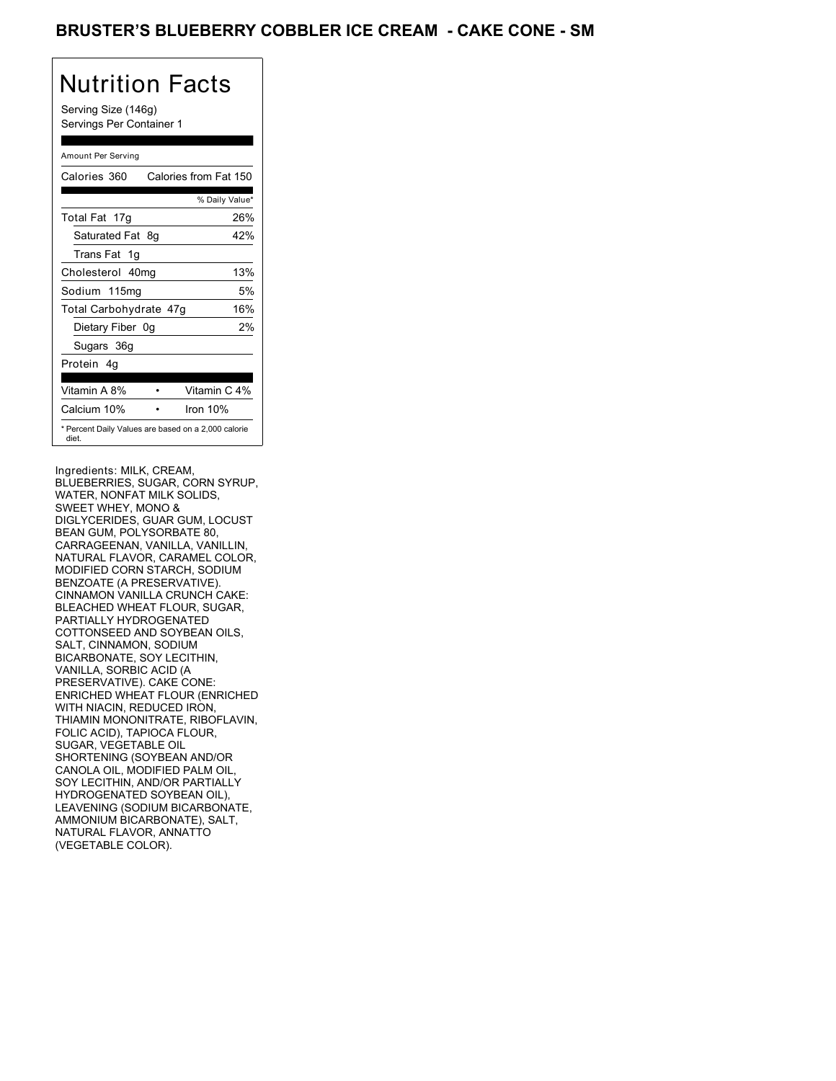## BRUSTER'S BLUEBERRY COBBLER ICE CREAM **- CAKE CONE - SM**

# Nutrition Facts

Serving Size (146g) Servings Per Container 1

### Amount Per Serving

| Calories 360           | Calories from Fat 150                               |
|------------------------|-----------------------------------------------------|
|                        | % Daily Value*                                      |
| Total Fat 17g          | 26%                                                 |
| Saturated Fat 8g       | 42%                                                 |
| Trans Fat 1q           |                                                     |
| Cholesterol 40mg       | 13%                                                 |
| Sodium 115mg           | 5%                                                  |
| Total Carbohydrate 47g | 16%                                                 |
| Dietary Fiber 0g       | 2%                                                  |
| Sugars 36g             |                                                     |
| Protein 4q             |                                                     |
|                        |                                                     |
| Vitamin A 8%           | Vitamin C 4%                                        |
| Calcium 10%            | Iron $10%$                                          |
| diet.                  | * Percent Daily Values are based on a 2,000 calorie |

Ingredients: MILK, CREAM, BLUEBERRIES, SUGAR, CORN SYRUP, WATER, NONFAT MILK SOLIDS, SWEET WHEY, MONO & DIGLYCERIDES, GUAR GUM, LOCUST BEAN GUM, POLYSORBATE 80, CARRAGEENAN, VANILLA, VANILLIN, NATURAL FLAVOR, CARAMEL COLOR, MODIFIED CORN STARCH, SODIUM BENZOATE (A PRESERVATIVE). CINNAMON VANILLA CRUNCH CAKE: BLEACHED WHEAT FLOUR, SUGAR, PARTIALLY HYDROGENATED COTTONSEED AND SOYBEAN OILS, SALT, CINNAMON, SODIUM BICARBONATE, SOY LECITHIN, VANILLA, SORBIC ACID (A PRESERVATIVE). CAKE CONE: ENRICHED WHEAT FLOUR (ENRICHED WITH NIACIN, REDUCED IRON, THIAMIN MONONITRATE, RIBOFLAVIN, FOLIC ACID), TAPIOCA FLOUR, SUGAR, VEGETABLE OIL SHORTENING (SOYBEAN AND/OR CANOLA OIL, MODIFIED PALM OIL, SOY LECITHIN, AND/OR PARTIALLY HYDROGENATED SOYBEAN OIL), LEAVENING (SODIUM BICARBONATE, AMMONIUM BICARBONATE), SALT, NATURAL FLAVOR, ANNATTO (VEGETABLE COLOR).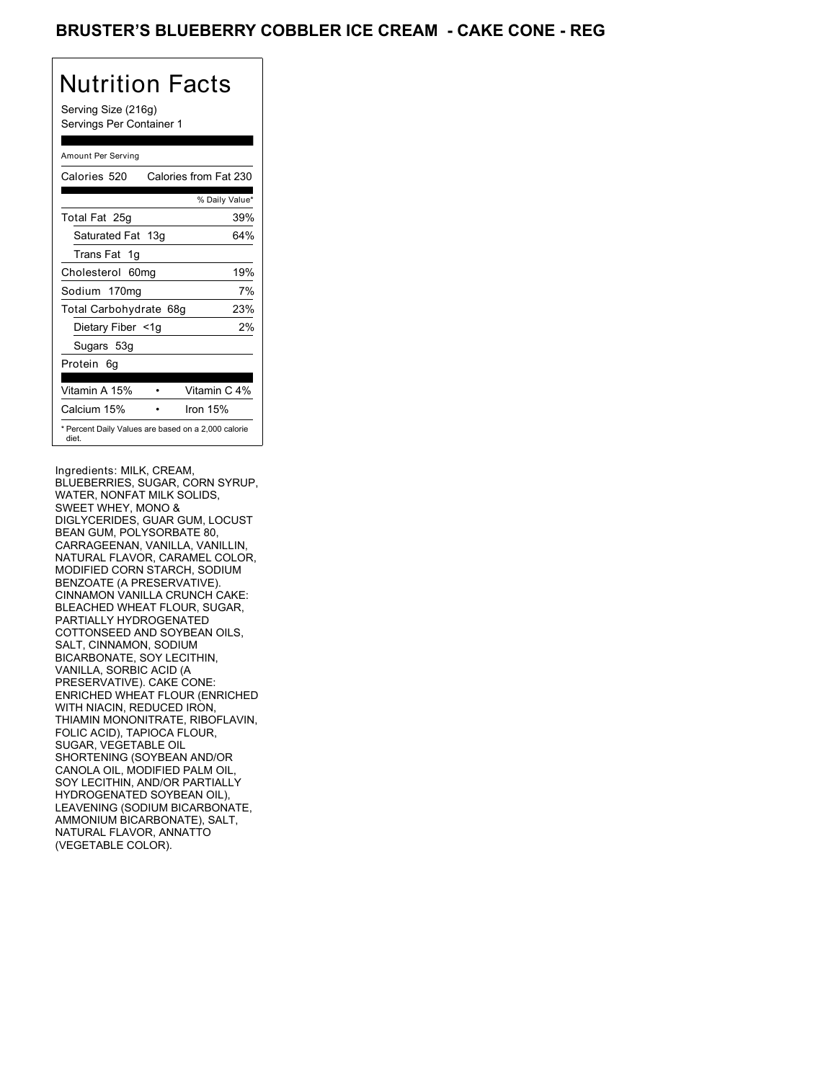## BRUSTER'S BLUEBERRY COBBLER ICE CREAM **- CAKE CONE - REG**

# Nutrition Facts

Serving Size (216g) Servings Per Container 1

### Amount Per Serving

| Calories 520                                                 | Calories from Fat 230 |
|--------------------------------------------------------------|-----------------------|
|                                                              | % Daily Value*        |
| Total Fat 25g                                                | 39%                   |
| Saturated Fat 13g                                            | 64%                   |
| Trans Fat 1g                                                 |                       |
| Cholesterol 60mg                                             | 19%                   |
| Sodium 170mg                                                 | 7%                    |
| Total Carbohydrate 68g                                       | 23%                   |
| Dietary Fiber <1g                                            | 2%                    |
| Sugars 53g                                                   |                       |
| Protein 6g                                                   |                       |
| Vitamin A 15%                                                | Vitamin C 4%          |
| Calcium 15%                                                  | Iron 15%              |
| * Percent Daily Values are based on a 2,000 calorie<br>diet. |                       |

Ingredients: MILK, CREAM, BLUEBERRIES, SUGAR, CORN SYRUP, WATER, NONFAT MILK SOLIDS, SWEET WHEY, MONO & DIGLYCERIDES, GUAR GUM, LOCUST BEAN GUM, POLYSORBATE 80, CARRAGEENAN, VANILLA, VANILLIN, NATURAL FLAVOR, CARAMEL COLOR, MODIFIED CORN STARCH, SODIUM BENZOATE (A PRESERVATIVE). CINNAMON VANILLA CRUNCH CAKE: BLEACHED WHEAT FLOUR, SUGAR, PARTIALLY HYDROGENATED COTTONSEED AND SOYBEAN OILS, SALT, CINNAMON, SODIUM BICARBONATE, SOY LECITHIN, VANILLA, SORBIC ACID (A PRESERVATIVE). CAKE CONE: ENRICHED WHEAT FLOUR (ENRICHED WITH NIACIN, REDUCED IRON, THIAMIN MONONITRATE, RIBOFLAVIN, FOLIC ACID), TAPIOCA FLOUR, SUGAR, VEGETABLE OIL SHORTENING (SOYBEAN AND/OR CANOLA OIL, MODIFIED PALM OIL, SOY LECITHIN, AND/OR PARTIALLY HYDROGENATED SOYBEAN OIL), LEAVENING (SODIUM BICARBONATE, AMMONIUM BICARBONATE), SALT, NATURAL FLAVOR, ANNATTO (VEGETABLE COLOR).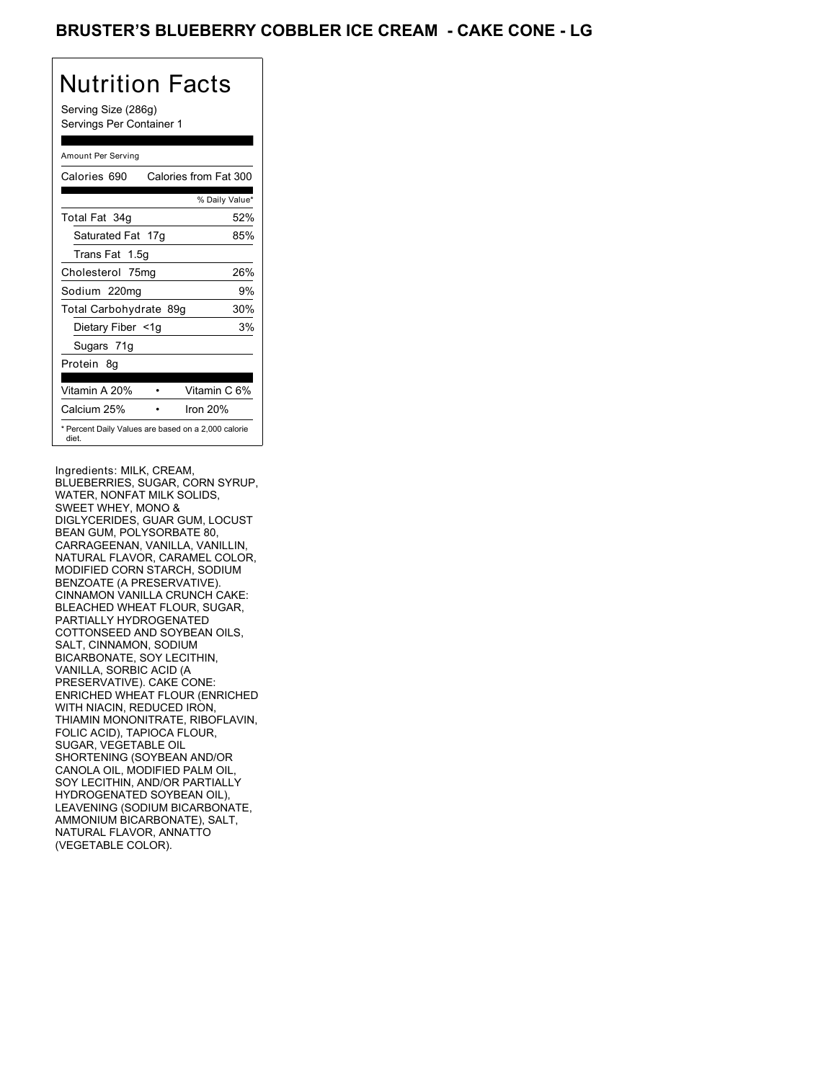## BRUSTER'S BLUEBERRY COBBLER ICE CREAM **- CAKE CONE - LG**

# Nutrition Facts

Serving Size (286g) Servings Per Container 1

### Amount Per Serving

| Calories 690           | Calories from Fat 300                               |
|------------------------|-----------------------------------------------------|
|                        | % Daily Value*                                      |
| Total Fat 34g          | 52%                                                 |
| Saturated Fat 17g      | 85%                                                 |
| Trans Fat 1.5q         |                                                     |
| Cholesterol 75mg       | 26%                                                 |
| Sodium 220mg           | 9%                                                  |
| Total Carbohydrate 89g | 30%                                                 |
| Dietary Fiber <1g      | 3%                                                  |
| Sugars 71g             |                                                     |
| Protein 8q             |                                                     |
| Vitamin A 20%          | Vitamin C 6%                                        |
| Calcium 25%            | lron 20%                                            |
| diet.                  | * Percent Daily Values are based on a 2,000 calorie |

Ingredients: MILK, CREAM, BLUEBERRIES, SUGAR, CORN SYRUP, WATER, NONFAT MILK SOLIDS, SWEET WHEY, MONO & DIGLYCERIDES, GUAR GUM, LOCUST BEAN GUM, POLYSORBATE 80, CARRAGEENAN, VANILLA, VANILLIN, NATURAL FLAVOR, CARAMEL COLOR, MODIFIED CORN STARCH, SODIUM BENZOATE (A PRESERVATIVE). CINNAMON VANILLA CRUNCH CAKE: BLEACHED WHEAT FLOUR, SUGAR, PARTIALLY HYDROGENATED COTTONSEED AND SOYBEAN OILS, SALT, CINNAMON, SODIUM BICARBONATE, SOY LECITHIN, VANILLA, SORBIC ACID (A PRESERVATIVE). CAKE CONE: ENRICHED WHEAT FLOUR (ENRICHED WITH NIACIN, REDUCED IRON, THIAMIN MONONITRATE, RIBOFLAVIN, FOLIC ACID), TAPIOCA FLOUR, SUGAR, VEGETABLE OIL SHORTENING (SOYBEAN AND/OR CANOLA OIL, MODIFIED PALM OIL, SOY LECITHIN, AND/OR PARTIALLY HYDROGENATED SOYBEAN OIL), LEAVENING (SODIUM BICARBONATE, AMMONIUM BICARBONATE), SALT, NATURAL FLAVOR, ANNATTO (VEGETABLE COLOR).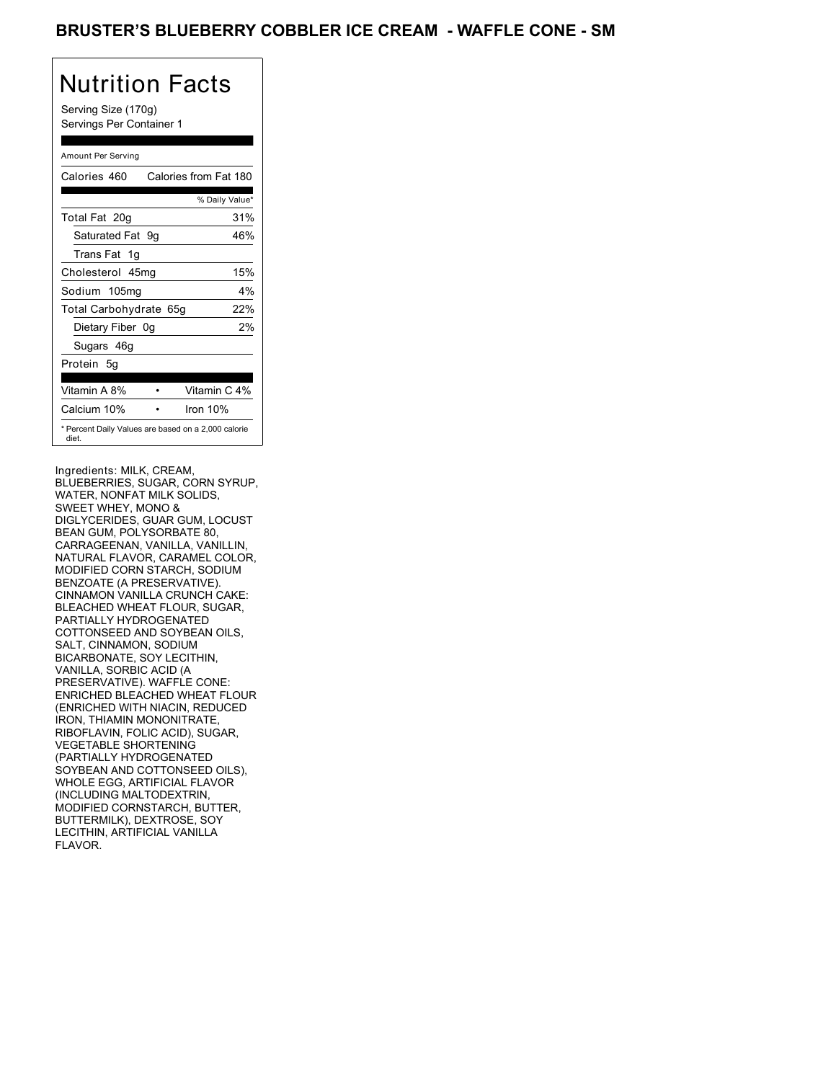## BRUSTER'S BLUEBERRY COBBLER ICE CREAM - WAFFLE CONE - SM

## Nutrition Facts

Serving Size (170g) Servings Per Container 1

### Amount Per Serving

| Calories 460                                                 | Calories from Fat 180 |                |
|--------------------------------------------------------------|-----------------------|----------------|
|                                                              |                       | % Daily Value* |
| Total Fat 20g                                                |                       | 31%            |
| Saturated Fat 9q                                             |                       | 46%            |
| Trans Fat 1g                                                 |                       |                |
| Cholesterol 45mg                                             |                       | 15%            |
| Sodium 105mg                                                 |                       | $4\%$          |
| Total Carbohydrate 65g                                       |                       | 22%            |
| Dietary Fiber 0g                                             |                       | 2%             |
| Sugars 46g                                                   |                       |                |
| Protein 5g                                                   |                       |                |
| Vitamin A 8%                                                 |                       | Vitamin C 4%   |
| Calcium 10%                                                  | Iron 10%              |                |
| * Percent Daily Values are based on a 2,000 calorie<br>diet. |                       |                |

Ingredients: MILK, CREAM, BLUEBERRIES, SUGAR, CORN SYRUP, WATER, NONFAT MILK SOLIDS, SWEET WHEY, MONO & DIGLYCERIDES, GUAR GUM, LOCUST BEAN GUM, POLYSORBATE 80, CARRAGEENAN, VANILLA, VANILLIN, NATURAL FLAVOR, CARAMEL COLOR, MODIFIED CORN STARCH, SODIUM BENZOATE (A PRESERVATIVE). CINNAMON VANILLA CRUNCH CAKE: BLEACHED WHEAT FLOUR, SUGAR, PARTIALLY HYDROGENATED COTTONSEED AND SOYBEAN OILS, SALT, CINNAMON, SODIUM BICARBONATE, SOY LECITHIN, VANILLA, SORBIC ACID (A PRESERVATIVE). WAFFLE CONE: ENRICHED BLEACHED WHEAT FLOUR (ENRICHED WITH NIACIN, REDUCED IRON, THIAMIN MONONITRATE, RIBOFLAVIN, FOLIC ACID), SUGAR, VEGETABLE SHORTENING (PARTIALLY HYDROGENATED SOYBEAN AND COTTONSEED OILS), WHOLE EGG, ARTIFICIAL FLAVOR (INCLUDING MALTODEXTRIN, MODIFIED CORNSTARCH, BUTTER, BUTTERMILK), DEXTROSE, SOY LECITHIN, ARTIFICIAL VANILLA FLAVOR.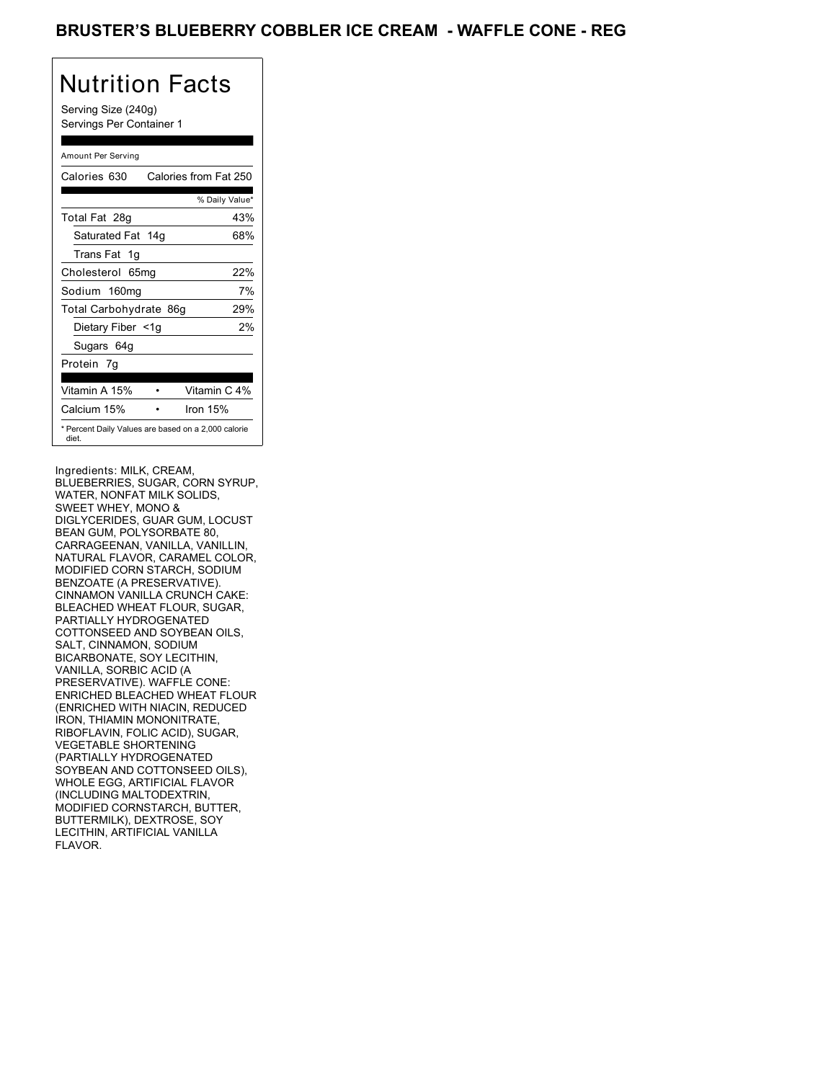## BRUSTER'S BLUEBERRY COBBLER ICE CREAM - WAFFLE CONE - REG

## Nutrition Facts

Serving Size (240g) Servings Per Container 1

### Amount Per Serving

| Calories 630                                                 | Calories from Fat 250 |
|--------------------------------------------------------------|-----------------------|
|                                                              | % Daily Value*        |
| Total Fat 28g                                                | 43%                   |
| Saturated Fat 14g                                            | 68%                   |
| Trans Fat 1g                                                 |                       |
| Cholesterol 65mg                                             | 22%                   |
| Sodium 160mg                                                 | 7%                    |
| Total Carbohydrate 86g                                       | 29%                   |
| Dietary Fiber <1g                                            | 2%                    |
| Sugars 64g                                                   |                       |
| Protein 7g                                                   |                       |
| Vitamin A 15%                                                | Vitamin C 4%          |
| Calcium 15%                                                  | Iron $15%$            |
| * Percent Daily Values are based on a 2,000 calorie<br>diet. |                       |

Ingredients: MILK, CREAM, BLUEBERRIES, SUGAR, CORN SYRUP, WATER, NONFAT MILK SOLIDS, SWEET WHEY, MONO & DIGLYCERIDES, GUAR GUM, LOCUST BEAN GUM, POLYSORBATE 80, CARRAGEENAN, VANILLA, VANILLIN, NATURAL FLAVOR, CARAMEL COLOR, MODIFIED CORN STARCH, SODIUM BENZOATE (A PRESERVATIVE). CINNAMON VANILLA CRUNCH CAKE: BLEACHED WHEAT FLOUR, SUGAR, PARTIALLY HYDROGENATED COTTONSEED AND SOYBEAN OILS, SALT, CINNAMON, SODIUM BICARBONATE, SOY LECITHIN, VANILLA, SORBIC ACID (A PRESERVATIVE). WAFFLE CONE: ENRICHED BLEACHED WHEAT FLOUR (ENRICHED WITH NIACIN, REDUCED IRON, THIAMIN MONONITRATE, RIBOFLAVIN, FOLIC ACID), SUGAR, VEGETABLE SHORTENING (PARTIALLY HYDROGENATED SOYBEAN AND COTTONSEED OILS), WHOLE EGG, ARTIFICIAL FLAVOR (INCLUDING MALTODEXTRIN, MODIFIED CORNSTARCH, BUTTER, BUTTERMILK), DEXTROSE, SOY LECITHIN, ARTIFICIAL VANILLA FLAVOR.